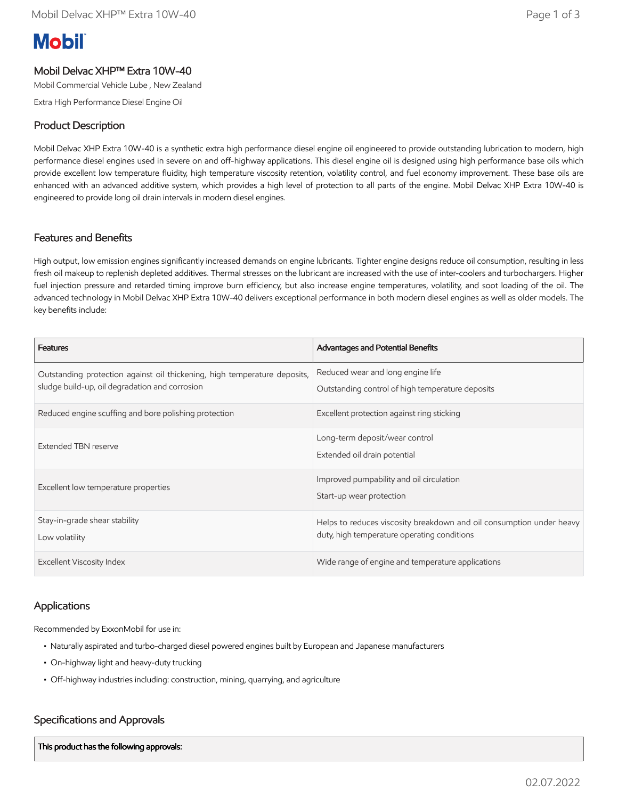# **Mobil**

# Mobil Delvac XHP™ Extra 10W-40

Mobil Commercial Vehicle Lube , New Zealand

Extra High Performance Diesel Engine Oil

# Product Description

Mobil Delvac XHP Extra 10W-40 is a synthetic extra high performance diesel engine oil engineered to provide outstanding lubrication to modern, high performance diesel engines used in severe on and off-highway applications. This diesel engine oil is designed using high performance base oils which provide excellent low temperature fluidity, high temperature viscosity retention, volatility control, and fuel economy improvement. These base oils are enhanced with an advanced additive system, which provides a high level of protection to all parts of the engine. Mobil Delvac XHP Extra 10W-40 is engineered to provide long oil drain intervals in modern diesel engines.

#### Features and Benefits

High output, low emission engines significantly increased demands on engine lubricants. Tighter engine designs reduce oil consumption, resulting in less fresh oil makeup to replenish depleted additives. Thermal stresses on the lubricant are increased with the use of inter-coolers and turbochargers. Higher fuel injection pressure and retarded timing improve burn efficiency, but also increase engine temperatures, volatility, and soot loading of the oil. The advanced technology in Mobil Delvac XHP Extra 10W-40 delivers exceptional performance in both modern diesel engines as well as older models. The key benefits include:

| <b>Features</b>                                                                                                             | <b>Advantages and Potential Benefits</b>                                                                            |
|-----------------------------------------------------------------------------------------------------------------------------|---------------------------------------------------------------------------------------------------------------------|
| Outstanding protection against oil thickening, high temperature deposits,<br>sludge build-up, oil degradation and corrosion | Reduced wear and long engine life<br>Outstanding control of high temperature deposits                               |
| Reduced engine scuffing and bore polishing protection                                                                       | Excellent protection against ring sticking                                                                          |
| Extended TBN reserve                                                                                                        | Long-term deposit/wear control<br>Extended oil drain potential                                                      |
| Excellent low temperature properties                                                                                        | Improved pumpability and oil circulation<br>Start-up wear protection                                                |
| Stay-in-grade shear stability<br>Low volatility                                                                             | Helps to reduces viscosity breakdown and oil consumption under heavy<br>duty, high temperature operating conditions |
| <b>Excellent Viscosity Index</b>                                                                                            | Wide range of engine and temperature applications                                                                   |

#### Applications

Recommended by ExxonMobil for use in:

- Naturally aspirated and turbo-charged diesel powered engines built by European and Japanese manufacturers
- On-highway light and heavy-duty trucking
- Off-highway industries including: construction, mining, quarrying, and agriculture

# Specifications and Approvals

This product has the following approvals: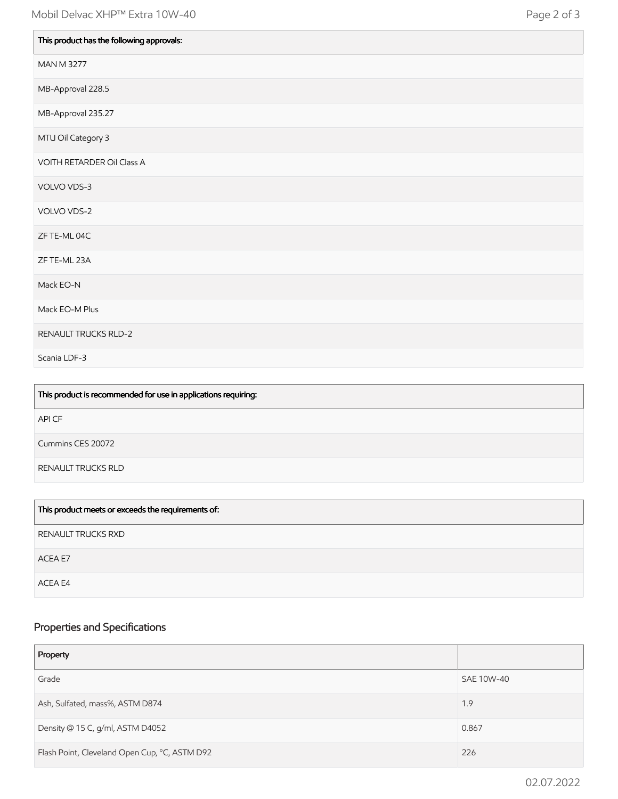| This product has the following approvals: |
|-------------------------------------------|
| <b>MAN M 3277</b>                         |
| MB-Approval 228.5                         |
| MB-Approval 235.27                        |
| MTU Oil Category 3                        |
| VOITH RETARDER Oil Class A                |
| VOLVO VDS-3                               |
| VOLVO VDS-2                               |
| ZF TE-ML 04C                              |
| ZF TE-ML 23A                              |
| Mack EO-N                                 |
| Mack EO-M Plus                            |
| RENAULT TRUCKS RLD-2                      |
| Scania LDF-3                              |

| This product is recommended for use in applications requiring: |
|----------------------------------------------------------------|
| API CF                                                         |
| Cummins CES 20072                                              |
| RENAULT TRUCKS RLD                                             |
|                                                                |

| This product meets or exceeds the requirements of: |
|----------------------------------------------------|
| RENAULT TRUCKS RXD                                 |
| ACEA E7                                            |
| ACEA E4                                            |

# Properties and Specifications

| Property                                      |            |
|-----------------------------------------------|------------|
| Grade                                         | SAE 10W-40 |
| Ash, Sulfated, mass%, ASTM D874               | 1.9        |
| Density @ 15 C, g/ml, ASTM D4052              | 0.867      |
| Flash Point, Cleveland Open Cup, °C, ASTM D92 | 226        |